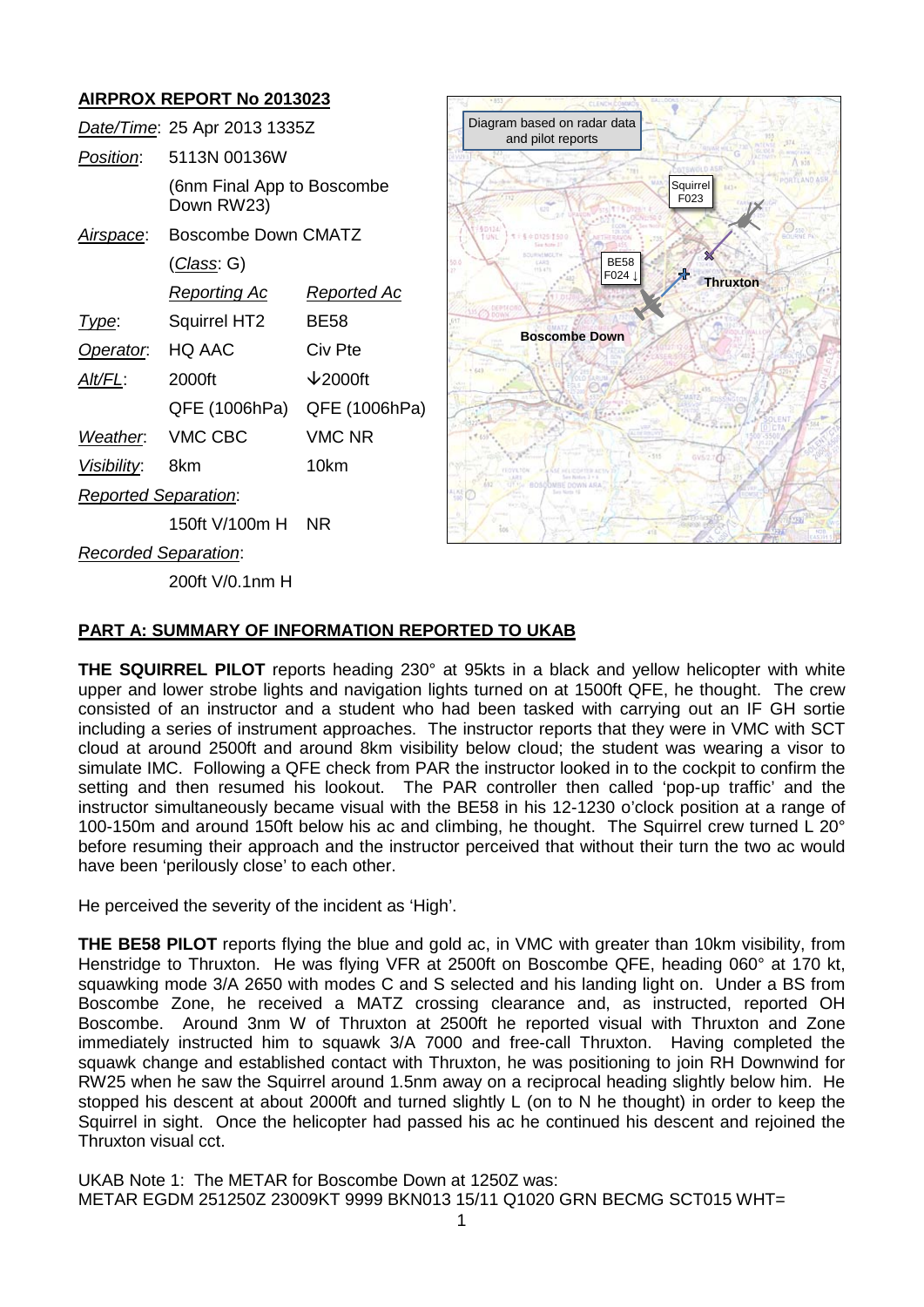# **AIRPROX REPORT No 2013023**

|                             | Date/Time: 25 Apr 2013 1335Z                                    |                     |
|-----------------------------|-----------------------------------------------------------------|---------------------|
| Position:                   | 5113N 00136W                                                    |                     |
|                             | (6nm Final App to Boscombe<br>Down RW23)<br>Boscombe Down CMATZ |                     |
| <u>Airspace:</u>            |                                                                 |                     |
|                             | (Class: G)                                                      |                     |
|                             | <b>Reporting Ac</b>                                             | <b>Reported Ac</b>  |
| Type:                       | Squirrel HT2                                                    | BE58                |
| Operator.                   | HQ AAC                                                          | Civ Pte             |
| Alt/FL:                     | 2000ft                                                          | $\downarrow$ 2000ft |
|                             | QFE (1006hPa)                                                   | QFE (1006hPa)       |
| Weather. VMC CBC            |                                                                 | <b>VMC NR</b>       |
| Visibility:                 | 8km                                                             | 10km                |
| <b>Reported Separation:</b> |                                                                 |                     |
|                             | 150ft V/100m H                                                  | <b>NR</b>           |
|                             |                                                                 |                     |



*Recorded Separation*:

200ft V/0.1nm H

# **PART A: SUMMARY OF INFORMATION REPORTED TO UKAB**

**THE SQUIRREL PILOT** reports heading 230° at 95kts in a black and yellow helicopter with white upper and lower strobe lights and navigation lights turned on at 1500ft QFE, he thought. The crew consisted of an instructor and a student who had been tasked with carrying out an IF GH sortie including a series of instrument approaches. The instructor reports that they were in VMC with SCT cloud at around 2500ft and around 8km visibility below cloud; the student was wearing a visor to simulate IMC. Following a QFE check from PAR the instructor looked in to the cockpit to confirm the setting and then resumed his lookout. The PAR controller then called 'pop-up traffic' and the instructor simultaneously became visual with the BE58 in his 12-1230 o'clock position at a range of 100-150m and around 150ft below his ac and climbing, he thought. The Squirrel crew turned L 20° before resuming their approach and the instructor perceived that without their turn the two ac would have been 'perilously close' to each other.

He perceived the severity of the incident as 'High'.

**THE BE58 PILOT** reports flying the blue and gold ac, in VMC with greater than 10km visibility, from Henstridge to Thruxton. He was flying VFR at 2500ft on Boscombe QFE, heading 060° at 170 kt, squawking mode 3/A 2650 with modes C and S selected and his landing light on. Under a BS from Boscombe Zone, he received a MATZ crossing clearance and, as instructed, reported OH Boscombe. Around 3nm W of Thruxton at 2500ft he reported visual with Thruxton and Zone immediately instructed him to squawk 3/A 7000 and free-call Thruxton. Having completed the squawk change and established contact with Thruxton, he was positioning to join RH Downwind for RW25 when he saw the Squirrel around 1.5nm away on a reciprocal heading slightly below him. He stopped his descent at about 2000ft and turned slightly L (on to N he thought) in order to keep the Squirrel in sight. Once the helicopter had passed his ac he continued his descent and rejoined the Thruxton visual cct.

UKAB Note 1: The METAR for Boscombe Down at 1250Z was: METAR EGDM 251250Z 23009KT 9999 BKN013 15/11 Q1020 GRN BECMG SCT015 WHT=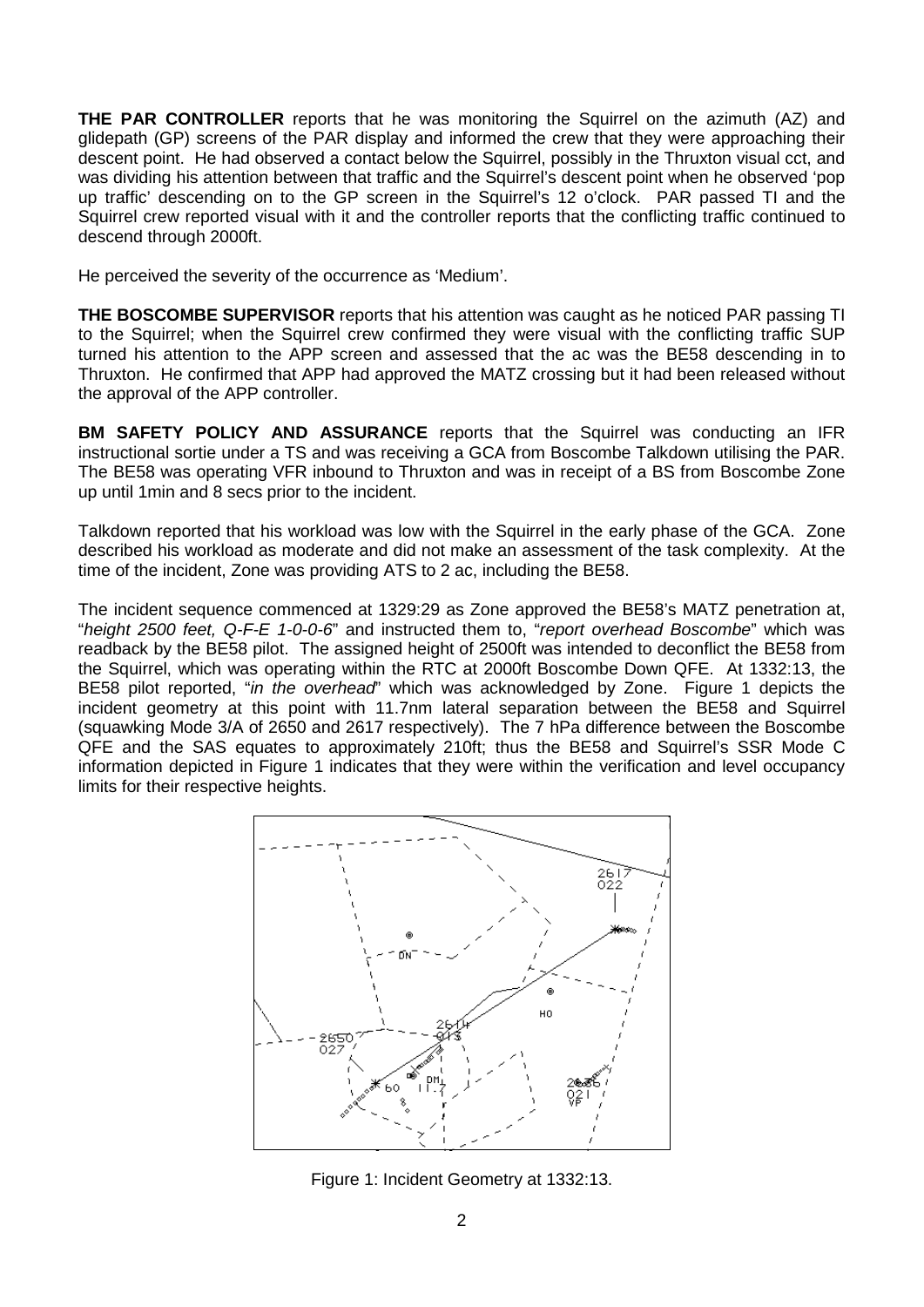**THE PAR CONTROLLER** reports that he was monitoring the Squirrel on the azimuth (AZ) and glidepath (GP) screens of the PAR display and informed the crew that they were approaching their descent point. He had observed a contact below the Squirrel, possibly in the Thruxton visual cct, and was dividing his attention between that traffic and the Squirrel's descent point when he observed 'pop up traffic' descending on to the GP screen in the Squirrel's 12 o'clock. PAR passed TI and the Squirrel crew reported visual with it and the controller reports that the conflicting traffic continued to descend through 2000ft.

He perceived the severity of the occurrence as 'Medium'.

**THE BOSCOMBE SUPERVISOR** reports that his attention was caught as he noticed PAR passing TI to the Squirrel; when the Squirrel crew confirmed they were visual with the conflicting traffic SUP turned his attention to the APP screen and assessed that the ac was the BE58 descending in to Thruxton. He confirmed that APP had approved the MATZ crossing but it had been released without the approval of the APP controller.

**BM SAFETY POLICY AND ASSURANCE** reports that the Squirrel was conducting an IFR instructional sortie under a TS and was receiving a GCA from Boscombe Talkdown utilising the PAR. The BE58 was operating VFR inbound to Thruxton and was in receipt of a BS from Boscombe Zone up until 1min and 8 secs prior to the incident.

Talkdown reported that his workload was low with the Squirrel in the early phase of the GCA. Zone described his workload as moderate and did not make an assessment of the task complexity. At the time of the incident, Zone was providing ATS to 2 ac, including the BE58.

The incident sequence commenced at 1329:29 as Zone approved the BE58's MATZ penetration at, "*height 2500 feet, Q-F-E 1-0-0-6*" and instructed them to, "*report overhead Boscombe*" which was readback by the BE58 pilot. The assigned height of 2500ft was intended to deconflict the BE58 from the Squirrel, which was operating within the RTC at 2000ft Boscombe Down QFE. At 1332:13, the BE58 pilot reported, "*in the overhead*" which was acknowledged by Zone. Figure 1 depicts the incident geometry at this point with 11.7nm lateral separation between the BE58 and Squirrel (squawking Mode 3/A of 2650 and 2617 respectively). The 7 hPa difference between the Boscombe QFE and the SAS equates to approximately 210ft; thus the BE58 and Squirrel's SSR Mode C information depicted in Figure 1 indicates that they were within the verification and level occupancy limits for their respective heights.



Figure 1: Incident Geometry at 1332:13.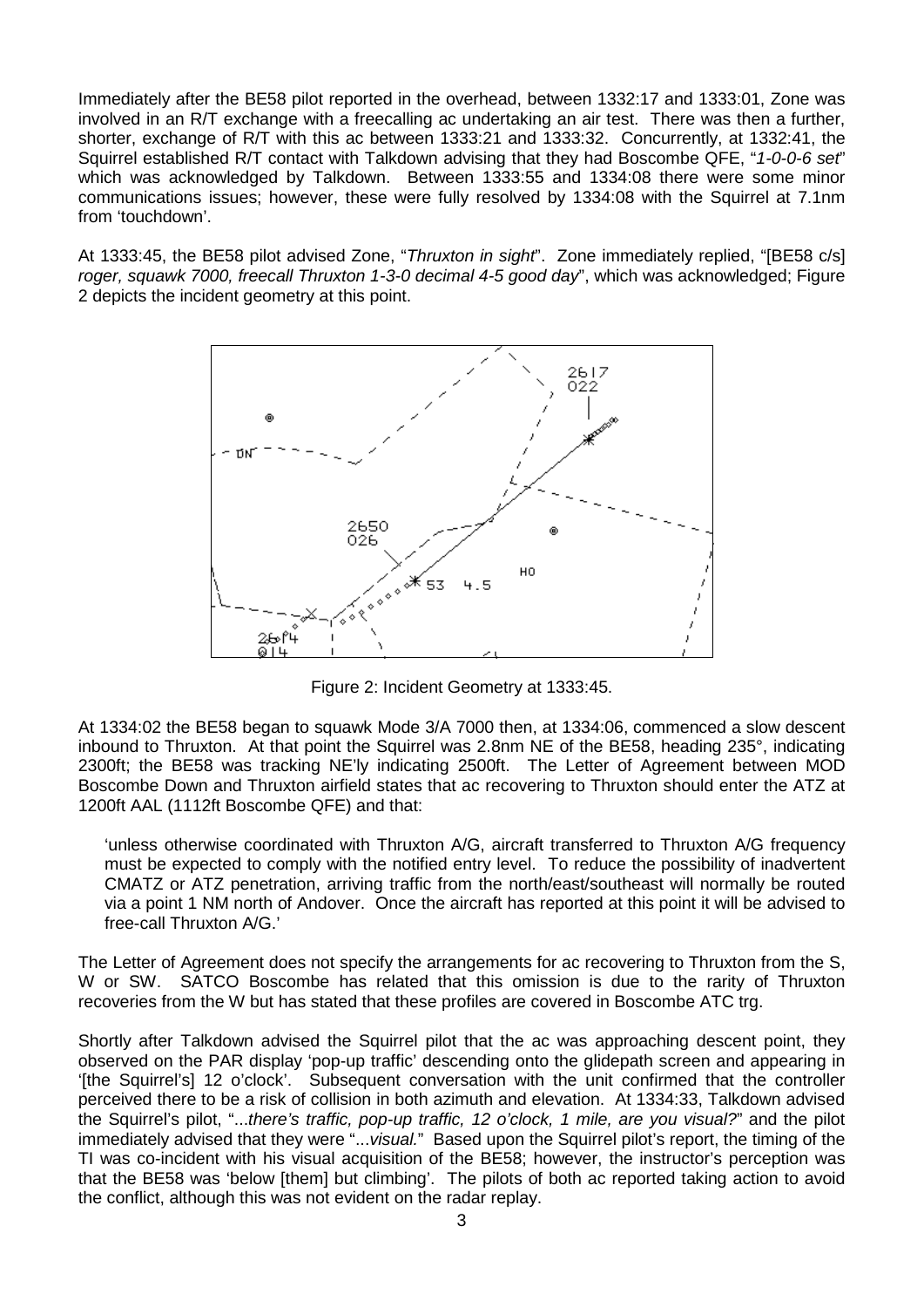Immediately after the BE58 pilot reported in the overhead, between 1332:17 and 1333:01, Zone was involved in an R/T exchange with a freecalling ac undertaking an air test. There was then a further, shorter, exchange of R/T with this ac between 1333:21 and 1333:32. Concurrently, at 1332:41, the Squirrel established R/T contact with Talkdown advising that they had Boscombe QFE, "*1-0-0-6 set*" which was acknowledged by Talkdown. Between 1333:55 and 1334:08 there were some minor communications issues; however, these were fully resolved by 1334:08 with the Squirrel at 7.1nm from 'touchdown'.

At 1333:45, the BE58 pilot advised Zone, "*Thruxton in sight*". Zone immediately replied, "[BE58 c/s] *roger, squawk 7000, freecall Thruxton 1-3-0 decimal 4-5 good day*", which was acknowledged; Figure 2 depicts the incident geometry at this point.



Figure 2: Incident Geometry at 1333:45.

At 1334:02 the BE58 began to squawk Mode 3/A 7000 then, at 1334:06, commenced a slow descent inbound to Thruxton. At that point the Squirrel was 2.8nm NE of the BE58, heading 235°, indicating 2300ft; the BE58 was tracking NE'ly indicating 2500ft. The Letter of Agreement between MOD Boscombe Down and Thruxton airfield states that ac recovering to Thruxton should enter the ATZ at 1200ft AAL (1112ft Boscombe QFE) and that:

'unless otherwise coordinated with Thruxton A/G, aircraft transferred to Thruxton A/G frequency must be expected to comply with the notified entry level. To reduce the possibility of inadvertent CMATZ or ATZ penetration, arriving traffic from the north/east/southeast will normally be routed via a point 1 NM north of Andover. Once the aircraft has reported at this point it will be advised to free-call Thruxton A/G.'

The Letter of Agreement does not specify the arrangements for ac recovering to Thruxton from the S, W or SW. SATCO Boscombe has related that this omission is due to the rarity of Thruxton recoveries from the W but has stated that these profiles are covered in Boscombe ATC trg.

Shortly after Talkdown advised the Squirrel pilot that the ac was approaching descent point, they observed on the PAR display 'pop-up traffic' descending onto the glidepath screen and appearing in '[the Squirrel's] 12 o'clock'. Subsequent conversation with the unit confirmed that the controller perceived there to be a risk of collision in both azimuth and elevation. At 1334:33, Talkdown advised the Squirrel's pilot, "...*there's traffic, pop-up traffic, 12 o'clock, 1 mile, are you visual?*" and the pilot immediately advised that they were "...*visual.*" Based upon the Squirrel pilot's report, the timing of the TI was co-incident with his visual acquisition of the BE58; however, the instructor's perception was that the BE58 was 'below [them] but climbing'. The pilots of both ac reported taking action to avoid the conflict, although this was not evident on the radar replay.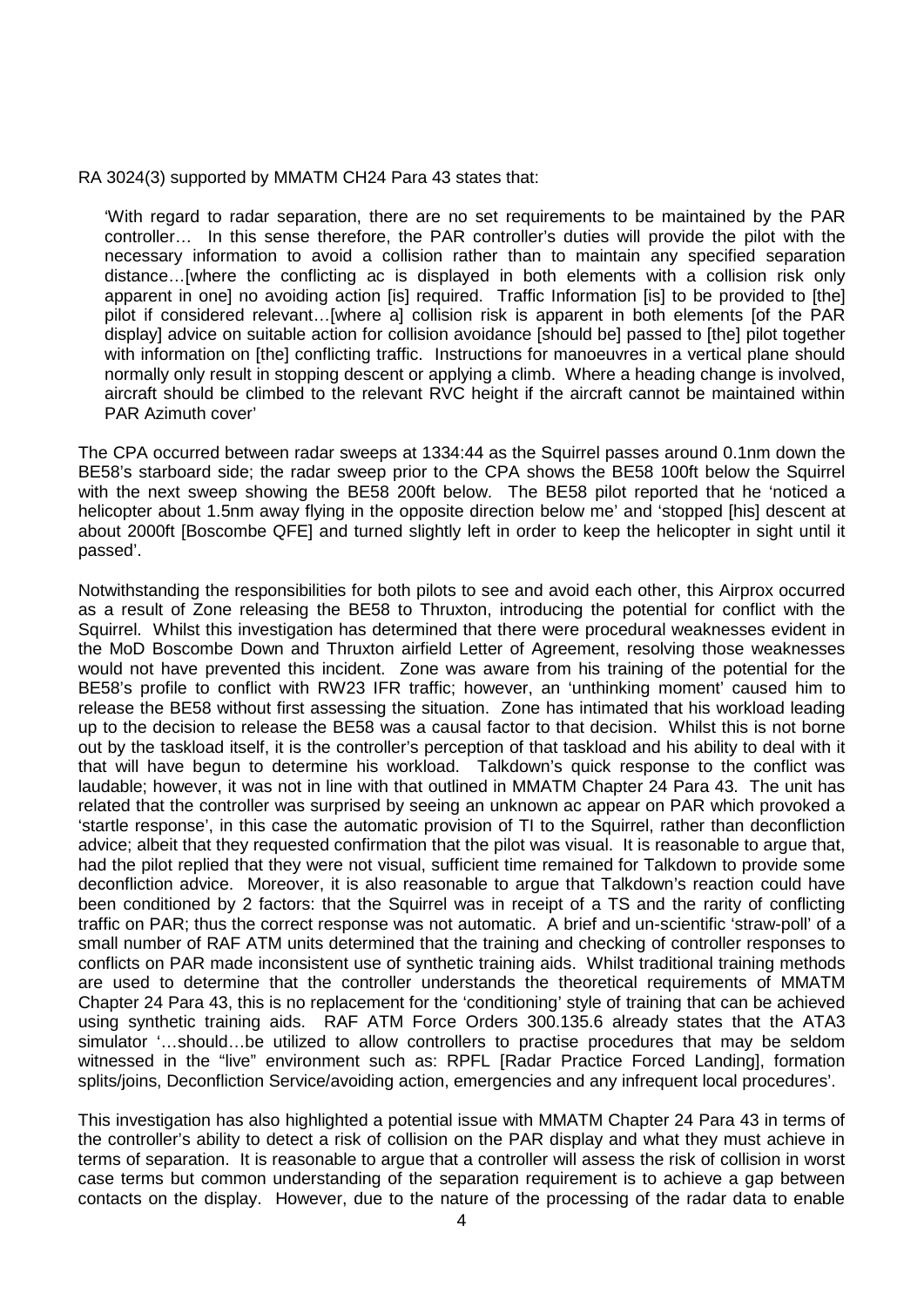RA 3024(3) supported by MMATM CH24 Para 43 states that:

'With regard to radar separation, there are no set requirements to be maintained by the PAR controller… In this sense therefore, the PAR controller's duties will provide the pilot with the necessary information to avoid a collision rather than to maintain any specified separation distance…[where the conflicting ac is displayed in both elements with a collision risk only apparent in one] no avoiding action [is] required. Traffic Information [is] to be provided to [the] pilot if considered relevant…[where a] collision risk is apparent in both elements [of the PAR display] advice on suitable action for collision avoidance [should be] passed to [the] pilot together with information on [the] conflicting traffic. Instructions for manoeuvres in a vertical plane should normally only result in stopping descent or applying a climb. Where a heading change is involved, aircraft should be climbed to the relevant RVC height if the aircraft cannot be maintained within PAR Azimuth cover'

The CPA occurred between radar sweeps at 1334:44 as the Squirrel passes around 0.1nm down the BE58's starboard side; the radar sweep prior to the CPA shows the BE58 100ft below the Squirrel with the next sweep showing the BE58 200ft below. The BE58 pilot reported that he 'noticed a helicopter about 1.5nm away flying in the opposite direction below me' and 'stopped [his] descent at about 2000ft [Boscombe QFE] and turned slightly left in order to keep the helicopter in sight until it passed'.

Notwithstanding the responsibilities for both pilots to see and avoid each other, this Airprox occurred as a result of Zone releasing the BE58 to Thruxton, introducing the potential for conflict with the Squirrel. Whilst this investigation has determined that there were procedural weaknesses evident in the MoD Boscombe Down and Thruxton airfield Letter of Agreement, resolving those weaknesses would not have prevented this incident. Zone was aware from his training of the potential for the BE58's profile to conflict with RW23 IFR traffic; however, an 'unthinking moment' caused him to release the BE58 without first assessing the situation. Zone has intimated that his workload leading up to the decision to release the BE58 was a causal factor to that decision. Whilst this is not borne out by the taskload itself, it is the controller's perception of that taskload and his ability to deal with it that will have begun to determine his workload. Talkdown's quick response to the conflict was laudable; however, it was not in line with that outlined in MMATM Chapter 24 Para 43. The unit has related that the controller was surprised by seeing an unknown ac appear on PAR which provoked a 'startle response', in this case the automatic provision of TI to the Squirrel, rather than deconfliction advice; albeit that they requested confirmation that the pilot was visual. It is reasonable to argue that, had the pilot replied that they were not visual, sufficient time remained for Talkdown to provide some deconfliction advice. Moreover, it is also reasonable to argue that Talkdown's reaction could have been conditioned by 2 factors: that the Squirrel was in receipt of a TS and the rarity of conflicting traffic on PAR; thus the correct response was not automatic. A brief and un-scientific 'straw-poll' of a small number of RAF ATM units determined that the training and checking of controller responses to conflicts on PAR made inconsistent use of synthetic training aids. Whilst traditional training methods are used to determine that the controller understands the theoretical requirements of MMATM Chapter 24 Para 43, this is no replacement for the 'conditioning' style of training that can be achieved using synthetic training aids. RAF ATM Force Orders 300.135.6 already states that the ATA3 simulator '…should…be utilized to allow controllers to practise procedures that may be seldom witnessed in the "live" environment such as: RPFL [Radar Practice Forced Landing], formation splits/joins, Deconfliction Service/avoiding action, emergencies and any infrequent local procedures'.

This investigation has also highlighted a potential issue with MMATM Chapter 24 Para 43 in terms of the controller's ability to detect a risk of collision on the PAR display and what they must achieve in terms of separation. It is reasonable to argue that a controller will assess the risk of collision in worst case terms but common understanding of the separation requirement is to achieve a gap between contacts on the display. However, due to the nature of the processing of the radar data to enable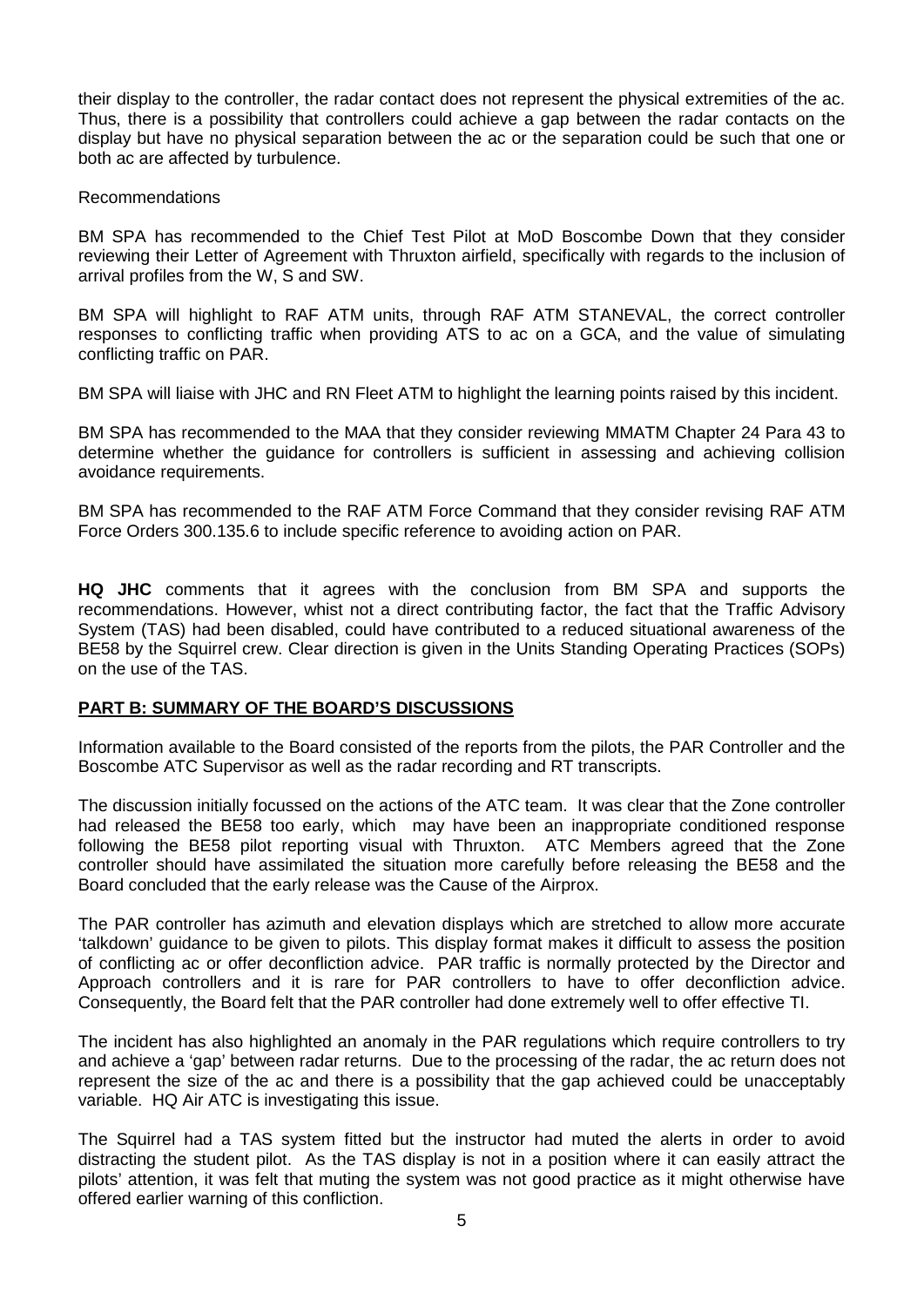their display to the controller, the radar contact does not represent the physical extremities of the ac. Thus, there is a possibility that controllers could achieve a gap between the radar contacts on the display but have no physical separation between the ac or the separation could be such that one or both ac are affected by turbulence.

#### Recommendations

BM SPA has recommended to the Chief Test Pilot at MoD Boscombe Down that they consider reviewing their Letter of Agreement with Thruxton airfield, specifically with regards to the inclusion of arrival profiles from the W, S and SW.

BM SPA will highlight to RAF ATM units, through RAF ATM STANEVAL, the correct controller responses to conflicting traffic when providing ATS to ac on a GCA, and the value of simulating conflicting traffic on PAR.

BM SPA will liaise with JHC and RN Fleet ATM to highlight the learning points raised by this incident.

BM SPA has recommended to the MAA that they consider reviewing MMATM Chapter 24 Para 43 to determine whether the guidance for controllers is sufficient in assessing and achieving collision avoidance requirements.

BM SPA has recommended to the RAF ATM Force Command that they consider revising RAF ATM Force Orders 300.135.6 to include specific reference to avoiding action on PAR.

**HQ JHC** comments that it agrees with the conclusion from BM SPA and supports the recommendations. However, whist not a direct contributing factor, the fact that the Traffic Advisory System (TAS) had been disabled, could have contributed to a reduced situational awareness of the BE58 by the Squirrel crew. Clear direction is given in the Units Standing Operating Practices (SOPs) on the use of the TAS.

## **PART B: SUMMARY OF THE BOARD'S DISCUSSIONS**

Information available to the Board consisted of the reports from the pilots, the PAR Controller and the Boscombe ATC Supervisor as well as the radar recording and RT transcripts.

The discussion initially focussed on the actions of the ATC team. It was clear that the Zone controller had released the BE58 too early, which may have been an inappropriate conditioned response following the BE58 pilot reporting visual with Thruxton. ATC Members agreed that the Zone controller should have assimilated the situation more carefully before releasing the BE58 and the Board concluded that the early release was the Cause of the Airprox.

The PAR controller has azimuth and elevation displays which are stretched to allow more accurate 'talkdown' guidance to be given to pilots. This display format makes it difficult to assess the position of conflicting ac or offer deconfliction advice. PAR traffic is normally protected by the Director and Approach controllers and it is rare for PAR controllers to have to offer deconfliction advice. Consequently, the Board felt that the PAR controller had done extremely well to offer effective TI.

The incident has also highlighted an anomaly in the PAR regulations which require controllers to try and achieve a 'gap' between radar returns. Due to the processing of the radar, the ac return does not represent the size of the ac and there is a possibility that the gap achieved could be unacceptably variable. HQ Air ATC is investigating this issue.

The Squirrel had a TAS system fitted but the instructor had muted the alerts in order to avoid distracting the student pilot. As the TAS display is not in a position where it can easily attract the pilots' attention, it was felt that muting the system was not good practice as it might otherwise have offered earlier warning of this confliction.